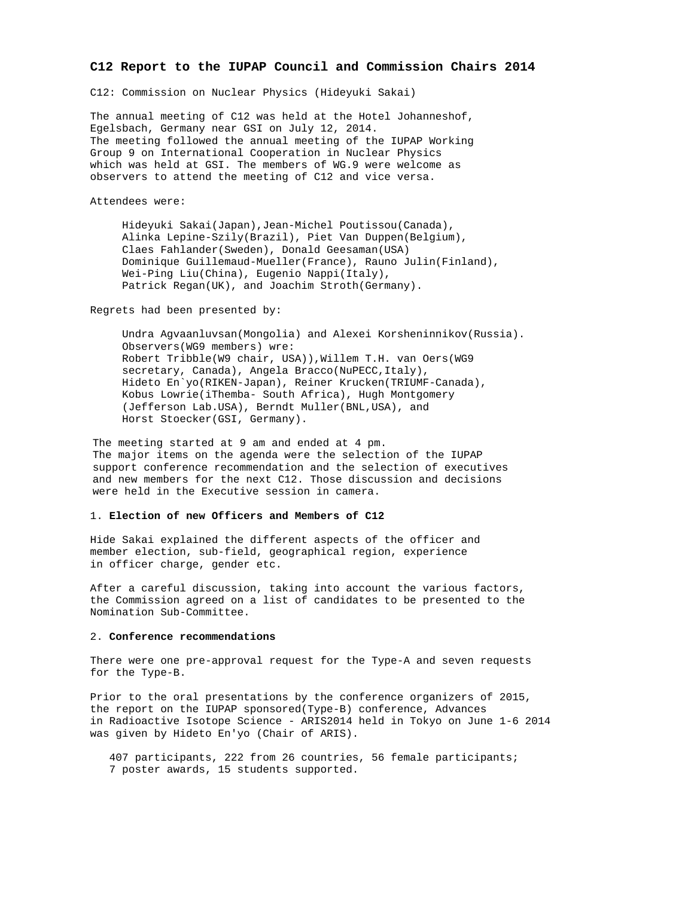## **C12 Report to the IUPAP Council and Commission Chairs 2014**

C12: Commission on Nuclear Physics (Hideyuki Sakai)

The annual meeting of C12 was held at the Hotel Johanneshof, Egelsbach, Germany near GSI on July 12, 2014. The meeting followed the annual meeting of the IUPAP Working Group 9 on International Cooperation in Nuclear Physics which was held at GSI. The members of WG.9 were welcome as observers to attend the meeting of C12 and vice versa.

Attendees were:

 Hideyuki Sakai(Japan),Jean-Michel Poutissou(Canada), Alinka Lepine-Szily(Brazil), Piet Van Duppen(Belgium), Claes Fahlander(Sweden), Donald Geesaman(USA) Dominique Guillemaud-Mueller(France), Rauno Julin(Finland), Wei-Ping Liu(China), Eugenio Nappi(Italy), Patrick Regan(UK), and Joachim Stroth(Germany).

Regrets had been presented by:

 Undra Agvaanluvsan(Mongolia) and Alexei Korsheninnikov(Russia). Observers(WG9 members) wre: Robert Tribble(W9 chair, USA)),Willem T.H. van Oers(WG9 secretary, Canada), Angela Bracco(NuPECC, Italy), Hideto En`yo(RIKEN-Japan), Reiner Krucken(TRIUMF-Canada), Kobus Lowrie(iThemba- South Africa), Hugh Montgomery (Jefferson Lab.USA), Berndt Muller(BNL,USA), and Horst Stoecker(GSI, Germany).

The meeting started at 9 am and ended at 4 pm. The major items on the agenda were the selection of the IUPAP support conference recommendation and the selection of executives and new members for the next C12. Those discussion and decisions were held in the Executive session in camera.

## 1. **Election of new Officers and Members of C12**

Hide Sakai explained the different aspects of the officer and member election, sub-field, geographical region, experience in officer charge, gender etc.

After a careful discussion, taking into account the various factors, the Commission agreed on a list of candidates to be presented to the Nomination Sub-Committee.

## 2. **Conference recommendations**

There were one pre-approval request for the Type-A and seven requests for the Type-B.

Prior to the oral presentations by the conference organizers of 2015, the report on the IUPAP sponsored(Type-B) conference, Advances in Radioactive Isotope Science - ARIS2014 held in Tokyo on June 1-6 2014 was given by Hideto En'yo (Chair of ARIS).

 407 participants, 222 from 26 countries, 56 female participants; 7 poster awards, 15 students supported.